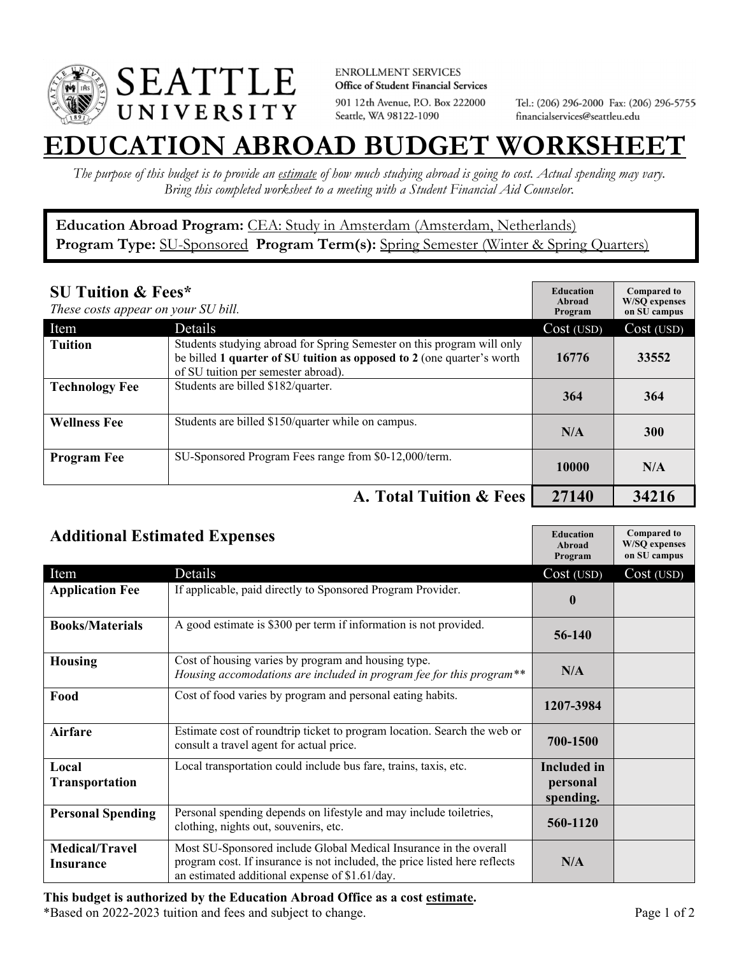

**ENROLLMENT SERVICES** Office of Student Financial Services 901 12th Avenue, P.O. Box 222000 Seattle, WA 98122-1090

Tel.: (206) 296-2000 Fax: (206) 296-5755 financialservices@seattleu.edu

## **EATION ABROAD BUDGET WORKSHEE**

*The purpose of this budget is to provide an estimate of how much studying abroad is going to cost. Actual spending may vary. Bring this completed worksheet to a meeting with a Student Financial Aid Counselor.* 

**Education Abroad Program:** CEA: Study in Amsterdam (Amsterdam, Netherlands) Program Type: **SU-Sponsored** Program Term(s): **Spring Semester** (Winter & Spring Quarters)

| <b>SU Tuition &amp; Fees*</b><br>These costs appear on your SU bill. |                                                                                                                                                                                         | <b>Education</b><br>Abroad<br>Program | <b>Compared to</b><br><b>W/SO</b> expenses<br>on SU campus |
|----------------------------------------------------------------------|-----------------------------------------------------------------------------------------------------------------------------------------------------------------------------------------|---------------------------------------|------------------------------------------------------------|
| Item                                                                 | Details                                                                                                                                                                                 | Cost (USD)                            | Cost (USD)                                                 |
| <b>Tuition</b>                                                       | Students studying abroad for Spring Semester on this program will only<br>be billed 1 quarter of SU tuition as opposed to 2 (one quarter's worth<br>of SU tuition per semester abroad). | 16776                                 | 33552                                                      |
| <b>Technology Fee</b>                                                | Students are billed \$182/quarter.                                                                                                                                                      | 364                                   | 364                                                        |
| <b>Wellness Fee</b>                                                  | Students are billed \$150/quarter while on campus.                                                                                                                                      | N/A                                   | <b>300</b>                                                 |
| <b>Program Fee</b>                                                   | SU-Sponsored Program Fees range from \$0-12,000/term.                                                                                                                                   | 10000                                 | N/A                                                        |
|                                                                      | A. Total Tuition & Fees                                                                                                                                                                 | 27140                                 | 34216                                                      |

| <b>Additional Estimated Expenses</b> |                                                                                                                                                                                                   | <b>Education</b><br>Abroad<br>Program       | <b>Compared to</b><br><b>W/SQ</b> expenses<br>on SU campus |
|--------------------------------------|---------------------------------------------------------------------------------------------------------------------------------------------------------------------------------------------------|---------------------------------------------|------------------------------------------------------------|
| Item                                 | Details                                                                                                                                                                                           | Cost (USD)                                  | Cost (USD)                                                 |
| <b>Application Fee</b>               | If applicable, paid directly to Sponsored Program Provider.                                                                                                                                       | $\boldsymbol{0}$                            |                                                            |
| <b>Books/Materials</b>               | A good estimate is \$300 per term if information is not provided.                                                                                                                                 | 56-140                                      |                                                            |
| <b>Housing</b>                       | Cost of housing varies by program and housing type.<br>Housing accomodations are included in program fee for this program**                                                                       | N/A                                         |                                                            |
| Food                                 | Cost of food varies by program and personal eating habits.                                                                                                                                        | 1207-3984                                   |                                                            |
| Airfare                              | Estimate cost of roundtrip ticket to program location. Search the web or<br>consult a travel agent for actual price.                                                                              | 700-1500                                    |                                                            |
| Local<br><b>Transportation</b>       | Local transportation could include bus fare, trains, taxis, etc.                                                                                                                                  | <b>Included</b> in<br>personal<br>spending. |                                                            |
| <b>Personal Spending</b>             | Personal spending depends on lifestyle and may include toiletries,<br>clothing, nights out, souvenirs, etc.                                                                                       | 560-1120                                    |                                                            |
| <b>Medical/Travel</b><br>Insurance   | Most SU-Sponsored include Global Medical Insurance in the overall<br>program cost. If insurance is not included, the price listed here reflects<br>an estimated additional expense of \$1.61/day. | N/A                                         |                                                            |

\*Based on 2022-2023 tuition and fees and subject to change. Page 1 of 2